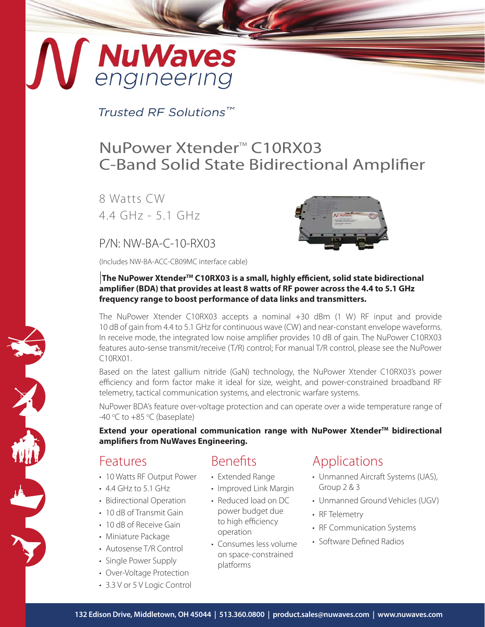# **NuWaves**<br>engineering

Trusted RF Solutions™

## NuPower Xtender<sup>™</sup> C10RX03 C-Band Solid State Bidirectional Amplifier

8 Watts CW 4.4 GHz - 5.1 GHz

### P/N: NW-BA-C-10-RX03

(Includes NW-BA-ACC-CB09MC interface cable)



#### |**The NuPower XtenderTM C10RX03 is a small, highly efficient, solid state bidirectional amplifier (BDA) that provides at least 8 watts of RF power across the 4.4 to 5.1 GHz frequency range to boost performance of data links and transmitters.**

The NuPower Xtender C10RX03 accepts a nominal +30 dBm (1 W) RF input and provide 10 dB of gain from 4.4 to 5.1 GHz for continuous wave (CW) and near-constant envelope waveforms. In receive mode, the integrated low noise amplifier provides 10 dB of gain. The NuPower C10RX03 features auto-sense transmit/receive (T/R) control; For manual T/R control, please see the NuPower C10RX01.

Based on the latest gallium nitride (GaN) technology, the NuPower Xtender C10RX03's power efficiency and form factor make it ideal for size, weight, and power-constrained broadband RF telemetry, tactical communication systems, and electronic warfare systems.

NuPower BDA's feature over-voltage protection and can operate over a wide temperature range of -40 °C to +85 °C (baseplate)

**Extend your operational communication range with NuPower Xtender™ bidirectional amplifiers from NuWaves Engineering.**

#### Features

- 10 Watts RF Output Power
- 4.4 GHz to 5.1 GHz
- Bidirectional Operation
- 10 dB of Transmit Gain
- 10 dB of Receive Gain
- Miniature Package
- Autosense T/R Control
- Single Power Supply
- Over-Voltage Protection
- 3.3 V or 5 V Logic Control

## Benefits

- Extended Range
- Improved Link Margin
- Reduced load on DC power budget due to high efficiency operation
- Consumes less volume on space-constrained platforms

## Applications

- Unmanned Aircraft Systems (UAS), Group 2 & 3
- Unmanned Ground Vehicles (UGV)
- RF Telemetry
- RF Communication Systems
- Software Defined Radios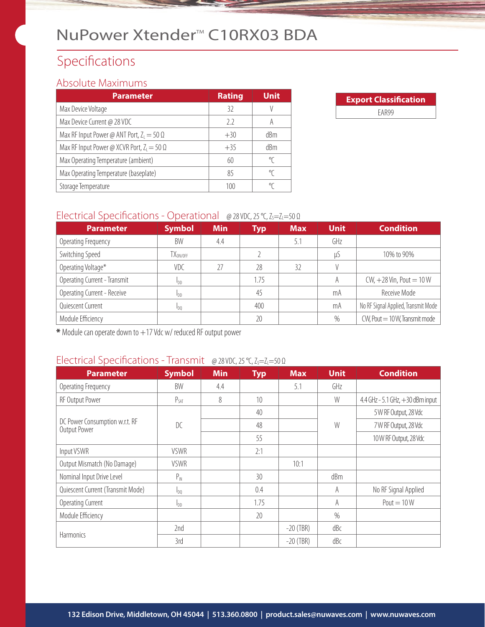## NuPower Xtender<sup>™</sup> C10RX03 BDA

## Specifications

#### Absolute Maximums

| <b>Parameter</b>                                  | <b>Rating</b> | <b>Unit</b> |
|---------------------------------------------------|---------------|-------------|
| Max Device Voltage                                | 32            |             |
| Max Device Current @ 28 VDC                       | 2.2           | A           |
| Max RF Input Power @ ANT Port, $Z_1 = 50 \Omega$  | $+30$         | dBm         |
| Max RF Input Power @ XCVR Port, $Z_1 = 50 \Omega$ | $+35$         | dBm         |
| Max Operating Temperature (ambient)               | 60            | °C          |
| Max Operating Temperature (baseplate)             | 85            | °C          |
| Storage Temperature                               | 100           | °C          |

| <b>Export Classification</b> |  |  |  |  |
|------------------------------|--|--|--|--|
| FAR99                        |  |  |  |  |

#### Electrical Specifications - Operational @ 28 VDC, 25 °C, Z<sub>S</sub>=Z<sub>L</sub>=50 Ω

| <b>Parameter</b>             | <b>Symbol</b>     | <b>Min</b> | <b>Typ</b> | <b>Max</b> | <b>Unit</b> | <b>Condition</b>                    |
|------------------------------|-------------------|------------|------------|------------|-------------|-------------------------------------|
| Operating Frequency          | BW                | 4.4        |            | 5.1        | GHz         |                                     |
| Switching Speed              | $TX_{\rm ON/OFF}$ |            |            |            | μS          | 10% to 90%                          |
| Operating Voltage*           | VDC               | 27         | 28         | 32         |             |                                     |
| Operating Current - Transmit | <b>I</b> DD       |            | 1.75       |            | A           | $CW, +28$ Vin, Pout = 10 W          |
| Operating Current - Receive  | <b>I</b> DD       |            | 45         |            | mA          | Receive Mode                        |
| Quiescent Current            | 100               |            | 400        |            | mA          | No RF Signal Applied, Transmit Mode |
| Module Efficiency            |                   |            | 20         |            | $\%$        | $CW$ , Pout $= 10W$ , Transmit mode |

**\*** Module can operate down to +17 Vdc w/ reduced RF output power

### Electrical Specifications - Transmit @ 28 VDC, 25 °C, Z<sub>S</sub>=Z<sub>L</sub>=50 Ω

| <b>Parameter</b>                               | <b>Symbol</b>   | <b>Min</b> | <b>Typ</b> | <b>Max</b>  | <b>Unit</b> | <b>Condition</b>                   |
|------------------------------------------------|-----------------|------------|------------|-------------|-------------|------------------------------------|
| Operating Frequency                            | BW              | 4.4        |            | 5.1         | GHz         |                                    |
| RF Output Power                                | $P_{SAT}$       | 8          | 10         |             | W           | 4.4 GHz - 5.1 GHz, $+30$ dBm input |
|                                                |                 |            | 40         |             |             | 5 W RF Output, 28 Vdc              |
| DC Power Consumption w.r.t. RF<br>Output Power | DC              |            | 48         |             | W           | 7 W RF Output, 28 Vdc              |
|                                                |                 |            | 55         |             |             | 10W RF Output, 28 Vdc              |
| Input VSWR                                     | <b>VSWR</b>     |            | 2:1        |             |             |                                    |
| Output Mismatch (No Damage)                    | <b>VSWR</b>     |            |            | 10:1        |             |                                    |
| Nominal Input Drive Level                      | $P_{IN}$        |            | 30         |             | dBm         |                                    |
| Quiescent Current (Transmit Mode)              | $I_{D0}$        |            | 0.4        |             | A           | No RF Signal Applied               |
| Operating Current                              | I <sub>DD</sub> |            | 1.75       |             | A           | $Pout = 10W$                       |
| Module Efficiency                              |                 |            | 20         |             | $\%$        |                                    |
|                                                | 2nd             |            |            | $-20$ (TBR) | dBc         |                                    |
| Harmonics                                      | 3rd             |            |            | $-20$ (TBR) | dBc         |                                    |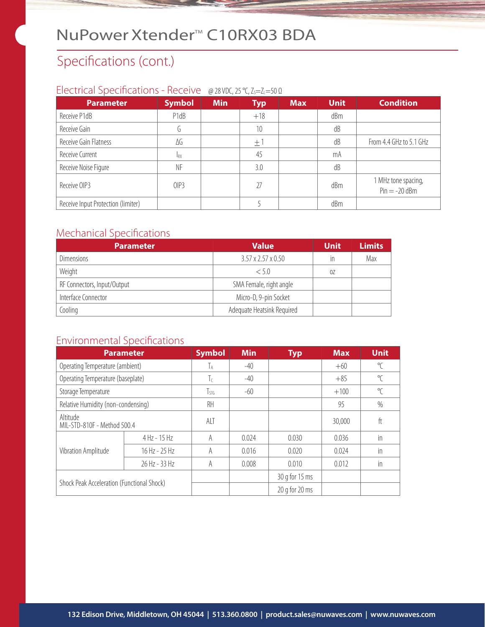## NuPower Xtender<sup>™</sup> C10RX03 BDA

## Specifications (cont.)

#### Electrical Specifications - Receive @ 28 VDC, 25 °C, Z<sub>S</sub>=Z<sub>L</sub>=50 Ω

| <b>Parameter</b>                   | <b>Symbol</b> | <b>Min</b> | <b>Typ</b> | <b>Max</b> | <b>Unit</b> | <b>Condition</b>                       |
|------------------------------------|---------------|------------|------------|------------|-------------|----------------------------------------|
| Receive P1dB                       | P1dB          |            | $+18$      |            | dBm         |                                        |
| Receive Gain                       |               |            | 10         |            | dB          |                                        |
| Receive Gain Flatness              | ΔG            |            | $\pm$ 1    |            | dB          | From 4.4 GHz to 5.1 GHz                |
| Receive Current                    | <b>RX</b>     |            | 45         |            | mA          |                                        |
| Receive Noise Figure               | ΝF            |            | 3.0        |            | dB          |                                        |
| Receive OIP3                       | OIP3          |            | 27         |            | dBm         | 1 MHz tone spacing,<br>$Pin = -20$ dBm |
| Receive Input Protection (limiter) |               |            |            |            | dBm         |                                        |

#### Mechanical Specifications

| <b>Parameter</b>            | <b>Value</b>                   | <b>Unit</b> | <b>Limits</b> |
|-----------------------------|--------------------------------|-------------|---------------|
| <b>Dimensions</b>           | $3.57 \times 2.57 \times 0.50$ | in          | Max           |
| Weight                      | < 5.0                          | 0Z          |               |
| RF Connectors, Input/Output | SMA Female, right angle        |             |               |
| Interface Connector         | Micro-D, 9-pin Socket          |             |               |
| Cooling                     | Adequate Heatsink Required     |             |               |

#### Environmental Specifications

| <b>Parameter</b>                           |                | <b>Symbol</b> | <b>Min</b> | <b>Typ</b>         | <b>Max</b> | <b>Unit</b>  |
|--------------------------------------------|----------------|---------------|------------|--------------------|------------|--------------|
| Operating Temperature (ambient)            |                | Iа            | $-40$      |                    | $+60$      | $\sqrt{\ }$  |
| Operating Temperature (baseplate)          |                | Τc            | $-40$      |                    | $+85$      | $\sqrt{\ }$  |
| Storage Temperature                        |                | $\frac{1}{5}$ | $-60$      |                    | $+100$     | $\mathrm{C}$ |
| Relative Humidity (non-condensing)         |                | RH            |            |                    | 95         | $\%$         |
| Altitude<br>MIL-STD-810F - Method 500.4    |                | ALT           |            |                    | 30,000     | ft           |
|                                            | $4$ Hz - 15 Hz | A             | 0.024      | 0.030              | 0.036      | in           |
| Vibration Amplitude                        | 16 Hz - 25 Hz  | A             | 0.016      | 0.020              | 0.024      | in           |
|                                            | 26 Hz - 33 Hz  | A             | 0.008      | 0.010              | 0.012      | in           |
| Shock Peak Acceleration (Functional Shock) |                |               |            | 30 g for 15 ms     |            |              |
|                                            |                |               |            | $20$ g for $20$ ms |            |              |